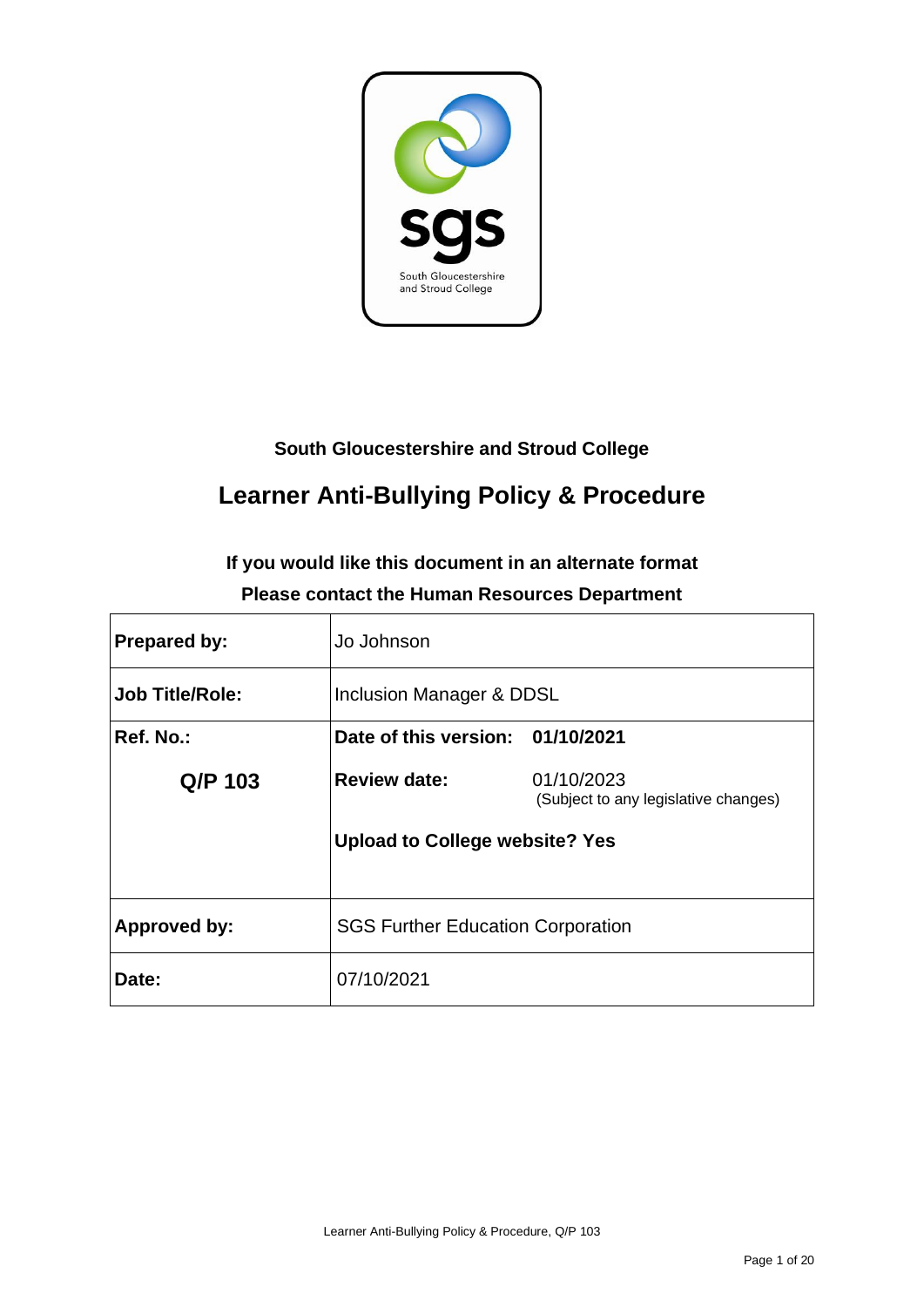

### **South Gloucestershire and Stroud College**

## **Learner Anti-Bullying Policy & Procedure**

## **If you would like this document in an alternate format Please contact the Human Resources Department**

| <b>Prepared by:</b>    | Jo Johnson                               |                                                    |
|------------------------|------------------------------------------|----------------------------------------------------|
| <b>Job Title/Role:</b> | Inclusion Manager & DDSL                 |                                                    |
| Ref. No.:              | Date of this version: 01/10/2021         |                                                    |
| Q/P 103                | <b>Review date:</b>                      | 01/10/2023<br>(Subject to any legislative changes) |
|                        | <b>Upload to College website? Yes</b>    |                                                    |
| Approved by:           | <b>SGS Further Education Corporation</b> |                                                    |
| Date:                  | 07/10/2021                               |                                                    |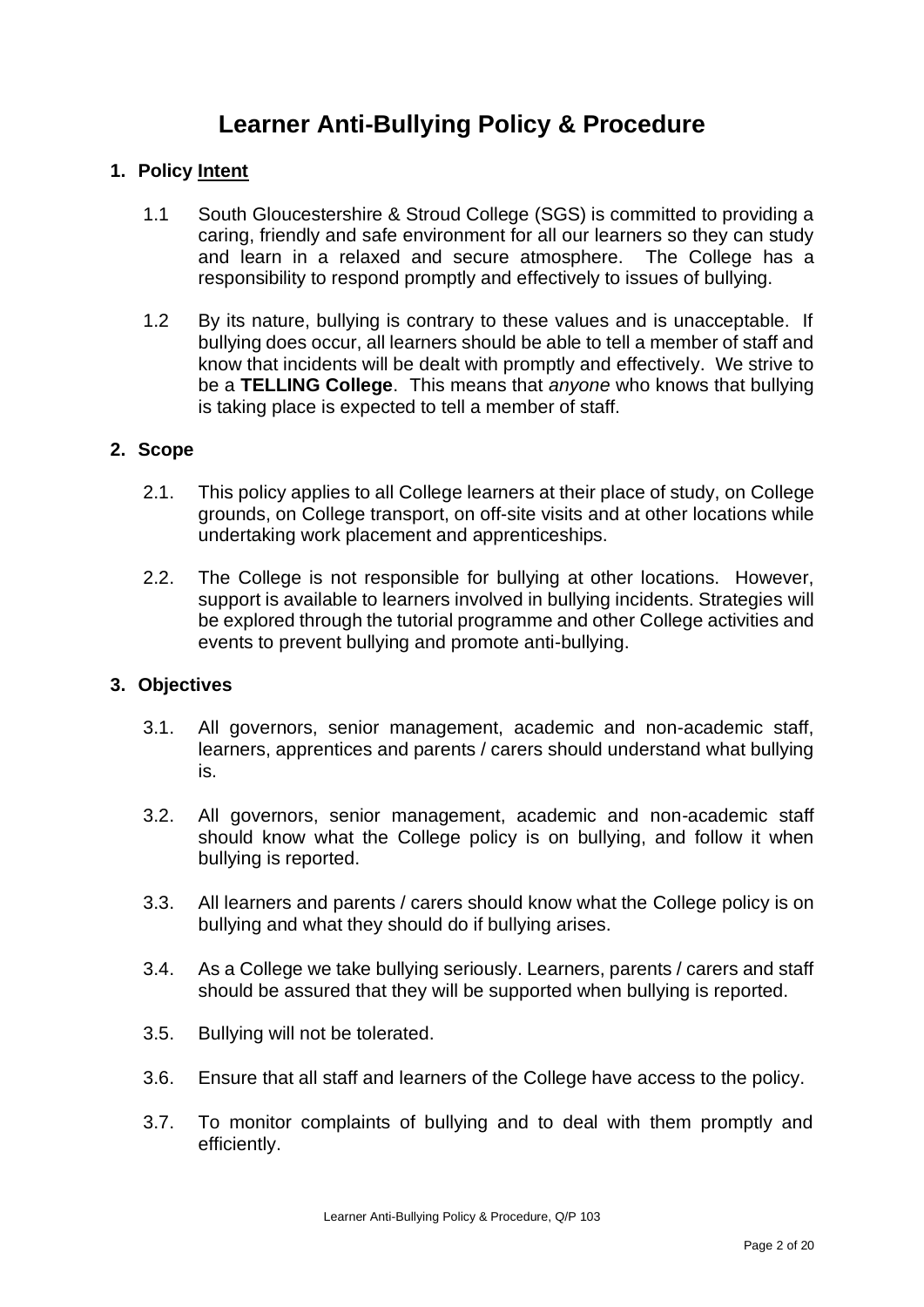## **Learner Anti-Bullying Policy & Procedure**

#### **1. Policy Intent**

- 1.1 South Gloucestershire & Stroud College (SGS) is committed to providing a caring, friendly and safe environment for all our learners so they can study and learn in a relaxed and secure atmosphere. The College has a responsibility to respond promptly and effectively to issues of bullying.
- 1.2 By its nature, bullying is contrary to these values and is unacceptable. If bullying does occur, all learners should be able to tell a member of staff and know that incidents will be dealt with promptly and effectively. We strive to be a **TELLING College**. This means that *anyone* who knows that bullying is taking place is expected to tell a member of staff.

#### **2. Scope**

- 2.1. This policy applies to all College learners at their place of study, on College grounds, on College transport, on off-site visits and at other locations while undertaking work placement and apprenticeships.
- 2.2. The College is not responsible for bullying at other locations. However, support is available to learners involved in bullying incidents. Strategies will be explored through the tutorial programme and other College activities and events to prevent bullying and promote anti-bullying.

#### **3. Objectives**

- 3.1. All governors, senior management, academic and non-academic staff, learners, apprentices and parents / carers should understand what bullying is.
- 3.2. All governors, senior management, academic and non-academic staff should know what the College policy is on bullying, and follow it when bullying is reported.
- 3.3. All learners and parents / carers should know what the College policy is on bullying and what they should do if bullying arises.
- 3.4. As a College we take bullying seriously. Learners, parents / carers and staff should be assured that they will be supported when bullying is reported.
- 3.5. Bullying will not be tolerated.
- 3.6. Ensure that all staff and learners of the College have access to the policy.
- 3.7. To monitor complaints of bullying and to deal with them promptly and efficiently.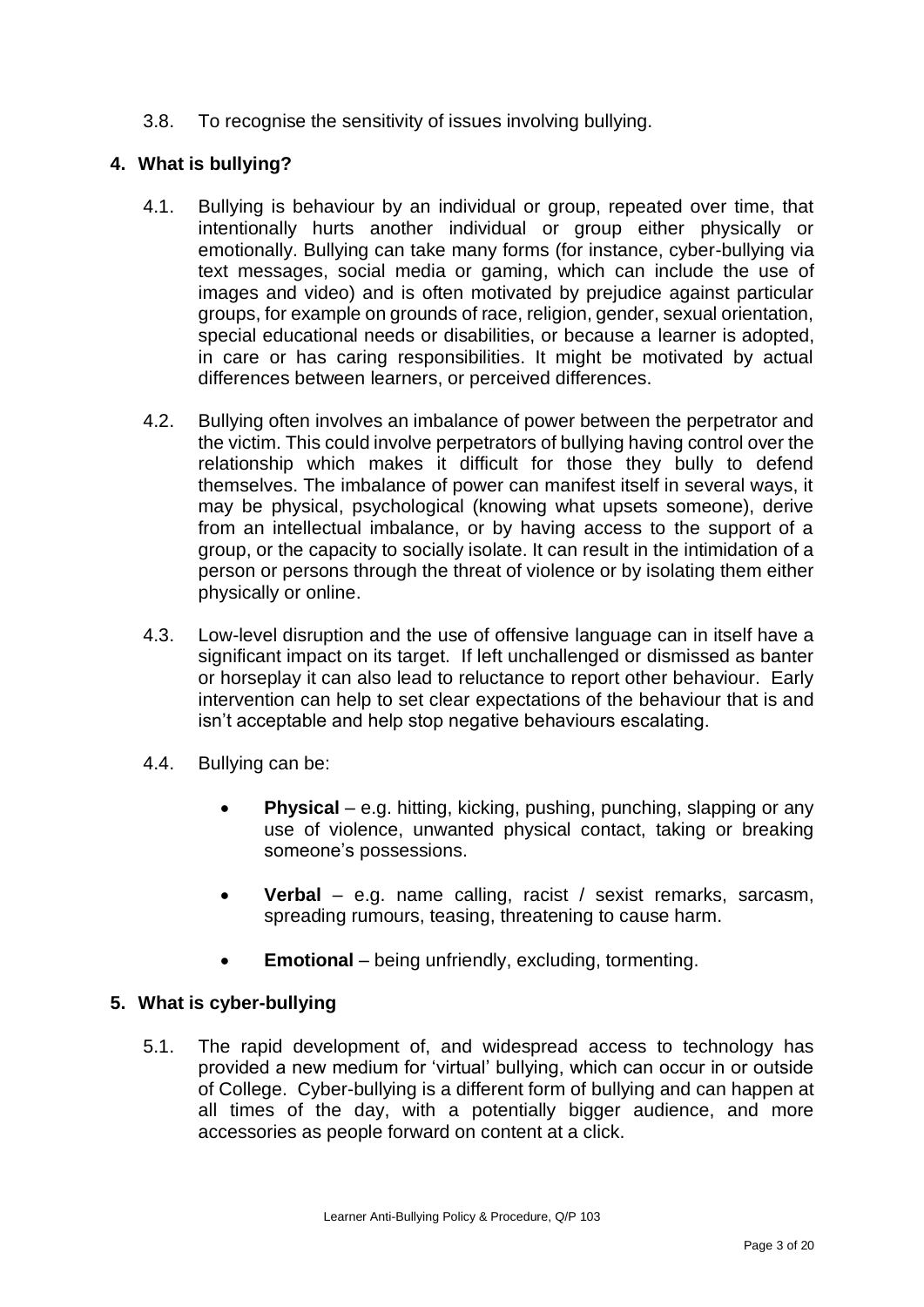3.8. To recognise the sensitivity of issues involving bullying.

#### **4. What is bullying?**

- 4.1. Bullying is behaviour by an individual or group, repeated over time, that intentionally hurts another individual or group either physically or emotionally. Bullying can take many forms (for instance, cyber-bullying via text messages, social media or gaming, which can include the use of images and video) and is often motivated by prejudice against particular groups, for example on grounds of race, religion, gender, sexual orientation, special educational needs or disabilities, or because a learner is adopted, in care or has caring responsibilities. It might be motivated by actual differences between learners, or perceived differences.
- 4.2. Bullying often involves an imbalance of power between the perpetrator and the victim. This could involve perpetrators of bullying having control over the relationship which makes it difficult for those they bully to defend themselves. The imbalance of power can manifest itself in several ways, it may be physical, psychological (knowing what upsets someone), derive from an intellectual imbalance, or by having access to the support of a group, or the capacity to socially isolate. It can result in the intimidation of a person or persons through the threat of violence or by isolating them either physically or online.
- 4.3. Low-level disruption and the use of offensive language can in itself have a significant impact on its target. If left unchallenged or dismissed as banter or horseplay it can also lead to reluctance to report other behaviour. Early intervention can help to set clear expectations of the behaviour that is and isn't acceptable and help stop negative behaviours escalating.
- 4.4. Bullying can be:
	- **Physical** e.g. hitting, kicking, pushing, punching, slapping or any use of violence, unwanted physical contact, taking or breaking someone's possessions.
	- **Verbal** e.g. name calling, racist / sexist remarks, sarcasm, spreading rumours, teasing, threatening to cause harm.
	- **Emotional** being unfriendly, excluding, tormenting.

#### **5. What is cyber-bullying**

5.1. The rapid development of, and widespread access to technology has provided a new medium for 'virtual' bullying, which can occur in or outside of College. Cyber-bullying is a different form of bullying and can happen at all times of the day, with a potentially bigger audience, and more accessories as people forward on content at a click.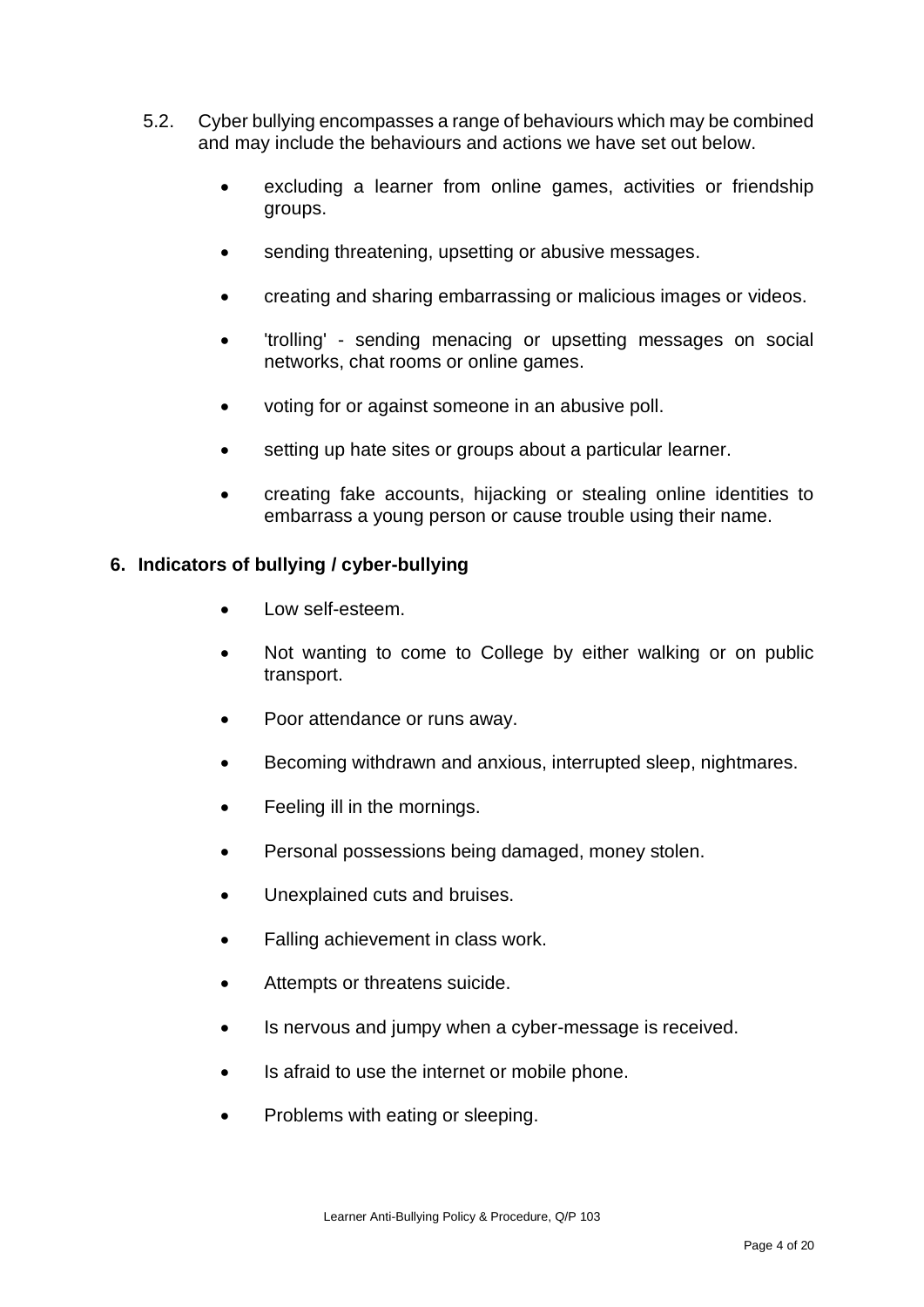- 5.2. Cyber bullying encompasses a range of behaviours which may be combined and may include the behaviours and actions we have set out below.
	- excluding a learner from online games, activities or friendship groups.
	- sending threatening, upsetting or abusive messages.
	- creating and sharing embarrassing or malicious images or videos.
	- 'trolling' sending menacing or upsetting messages on social networks, chat rooms or online games.
	- voting for or against someone in an abusive poll.
	- setting up hate sites or groups about a particular learner.
	- creating fake accounts, hijacking or stealing online identities to embarrass a young person or cause trouble using their name.

#### **6. Indicators of bullying / cyber-bullying**

- Low self-esteem.
- Not wanting to come to College by either walking or on public transport.
- Poor attendance or runs away.
- Becoming withdrawn and anxious, interrupted sleep, nightmares.
- Feeling ill in the mornings.
- Personal possessions being damaged, money stolen.
- Unexplained cuts and bruises.
- Falling achievement in class work.
- Attempts or threatens suicide.
- Is nervous and jumpy when a cyber-message is received.
- Is afraid to use the internet or mobile phone.
- Problems with eating or sleeping.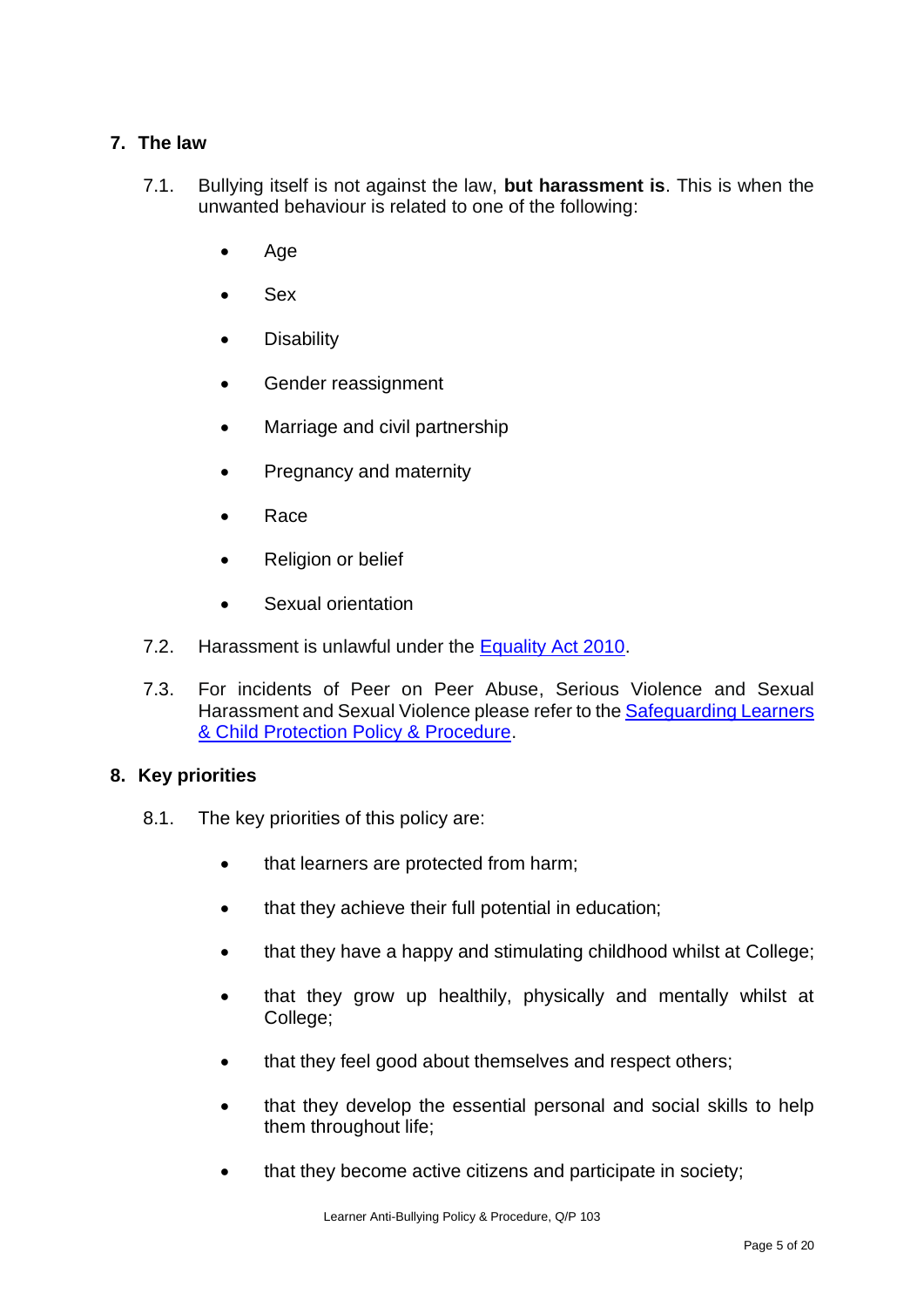#### **7. The law**

- 7.1. Bullying itself is not against the law, **but harassment is**. This is when the unwanted behaviour is related to one of the following:
	- Age
	- Sex
	- **Disability**
	- Gender reassignment
	- Marriage and civil partnership
	- Pregnancy and maternity
	- Race
	- Religion or belief
	- Sexual orientation
- 7.2. Harassment is unlawful under the [Equality Act 2010.](https://www.gov.uk/guidance/equality-act-2010-guidance)
- 7.3. For incidents of Peer on Peer Abuse, Serious Violence and Sexual Harassment and Sexual Violence please refer to the [Safeguarding Learners](https://sgscol.sharepoint.com/:w:/s/staff/DataHub/Ef8s_WHEamBAhJv0U0ZYNwIBbsttvjjc5fkFzYdY4qDikQ?e=h5WzS0)  [& Child Protection Policy & Procedure.](https://sgscol.sharepoint.com/:w:/s/staff/DataHub/Ef8s_WHEamBAhJv0U0ZYNwIBbsttvjjc5fkFzYdY4qDikQ?e=h5WzS0)

#### **8. Key priorities**

- 8.1. The key priorities of this policy are:
	- that learners are protected from harm;
	- that they achieve their full potential in education;
	- that they have a happy and stimulating childhood whilst at College;
	- that they grow up healthily, physically and mentally whilst at College;
	- that they feel good about themselves and respect others;
	- that they develop the essential personal and social skills to help them throughout life;
	- that they become active citizens and participate in society;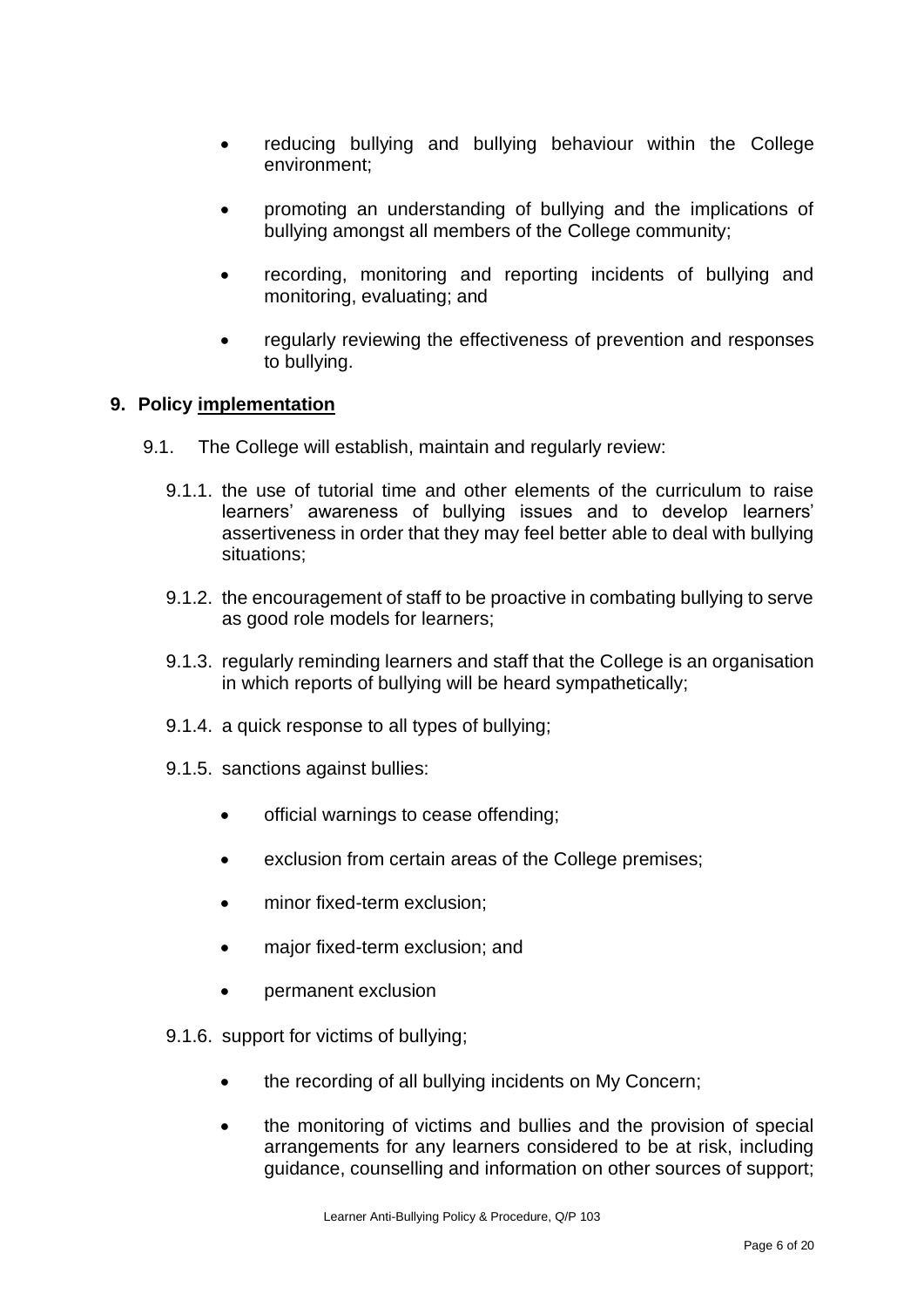- reducing bullying and bullying behaviour within the College environment;
- promoting an understanding of bullying and the implications of bullying amongst all members of the College community;
- recording, monitoring and reporting incidents of bullying and monitoring, evaluating; and
- regularly reviewing the effectiveness of prevention and responses to bullying.

#### **9. Policy implementation**

- 9.1. The College will establish, maintain and regularly review:
	- 9.1.1. the use of tutorial time and other elements of the curriculum to raise learners' awareness of bullying issues and to develop learners' assertiveness in order that they may feel better able to deal with bullying situations;
	- 9.1.2. the encouragement of staff to be proactive in combating bullying to serve as good role models for learners;
	- 9.1.3. regularly reminding learners and staff that the College is an organisation in which reports of bullying will be heard sympathetically;
	- 9.1.4. a quick response to all types of bullying;
	- 9.1.5. sanctions against bullies:
		- official warnings to cease offending;
		- exclusion from certain areas of the College premises:
		- minor fixed-term exclusion;
		- major fixed-term exclusion; and
		- permanent exclusion
	- 9.1.6. support for victims of bullying;
		- the recording of all bullying incidents on My Concern;
		- the monitoring of victims and bullies and the provision of special arrangements for any learners considered to be at risk, including guidance, counselling and information on other sources of support;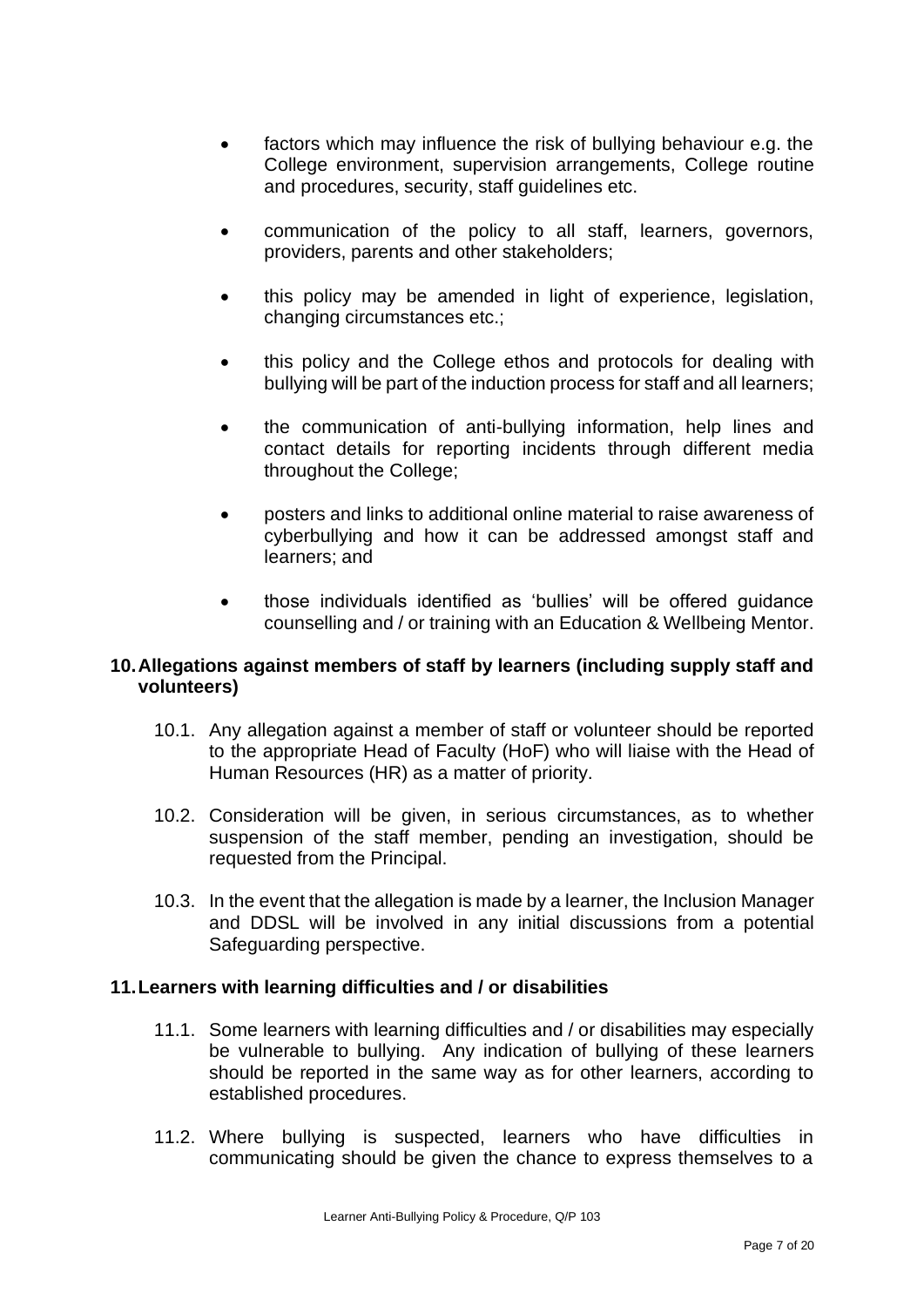- factors which may influence the risk of bullying behaviour e.g. the College environment, supervision arrangements, College routine and procedures, security, staff guidelines etc.
- communication of the policy to all staff, learners, governors, providers, parents and other stakeholders;
- this policy may be amended in light of experience, legislation, changing circumstances etc.;
- this policy and the College ethos and protocols for dealing with bullying will be part of the induction process for staff and all learners;
- the communication of anti-bullying information, help lines and contact details for reporting incidents through different media throughout the College;
- posters and links to additional online material to raise awareness of cyberbullying and how it can be addressed amongst staff and learners; and
- those individuals identified as 'bullies' will be offered guidance counselling and / or training with an Education & Wellbeing Mentor.

#### **10.Allegations against members of staff by learners (including supply staff and volunteers)**

- 10.1. Any allegation against a member of staff or volunteer should be reported to the appropriate Head of Faculty (HoF) who will liaise with the Head of Human Resources (HR) as a matter of priority.
- 10.2. Consideration will be given, in serious circumstances, as to whether suspension of the staff member, pending an investigation, should be requested from the Principal.
- 10.3. In the event that the allegation is made by a learner, the Inclusion Manager and DDSL will be involved in any initial discussions from a potential Safeguarding perspective.

#### **11.Learners with learning difficulties and / or disabilities**

- 11.1. Some learners with learning difficulties and / or disabilities may especially be vulnerable to bullying. Any indication of bullying of these learners should be reported in the same way as for other learners, according to established procedures.
- 11.2. Where bullying is suspected, learners who have difficulties in communicating should be given the chance to express themselves to a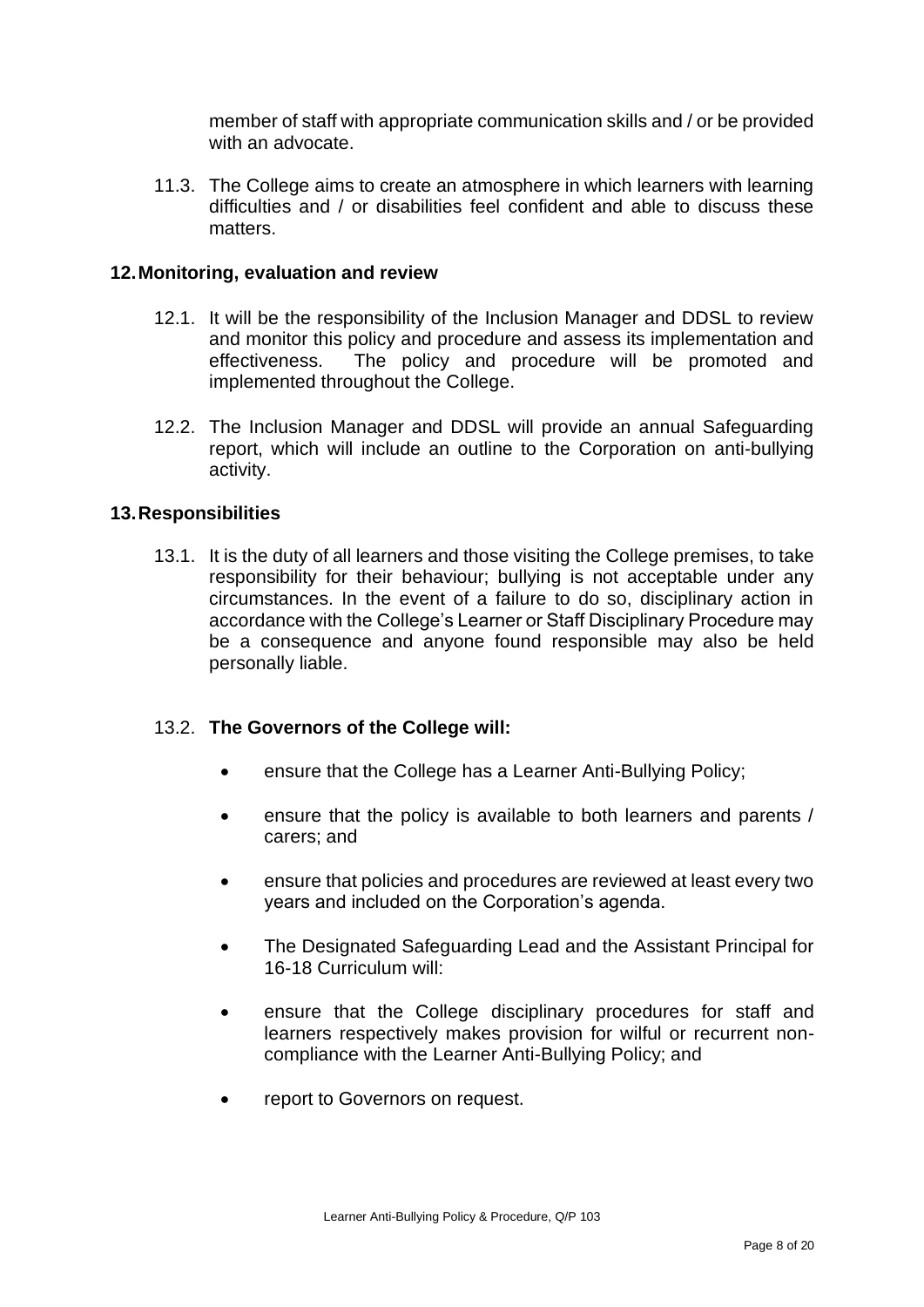member of staff with appropriate communication skills and / or be provided with an advocate.

11.3. The College aims to create an atmosphere in which learners with learning difficulties and / or disabilities feel confident and able to discuss these matters.

#### **12.Monitoring, evaluation and review**

- 12.1. It will be the responsibility of the Inclusion Manager and DDSL to review and monitor this policy and procedure and assess its implementation and effectiveness. The policy and procedure will be promoted and implemented throughout the College.
- 12.2. The Inclusion Manager and DDSL will provide an annual Safeguarding report, which will include an outline to the Corporation on anti-bullying activity.

#### **13.Responsibilities**

13.1. It is the duty of all learners and those visiting the College premises, to take responsibility for their behaviour; bullying is not acceptable under any circumstances. In the event of a failure to do so, disciplinary action in accordance with the College's Learner or Staff Disciplinary Procedure may be a consequence and anyone found responsible may also be held personally liable.

#### 13.2. **The Governors of the College will:**

- ensure that the College has a Learner Anti-Bullying Policy;
- ensure that the policy is available to both learners and parents / carers; and
- ensure that policies and procedures are reviewed at least every two years and included on the Corporation's agenda.
- The Designated Safeguarding Lead and the Assistant Principal for 16-18 Curriculum will:
- ensure that the College disciplinary procedures for staff and learners respectively makes provision for wilful or recurrent noncompliance with the Learner Anti-Bullying Policy; and
- report to Governors on request.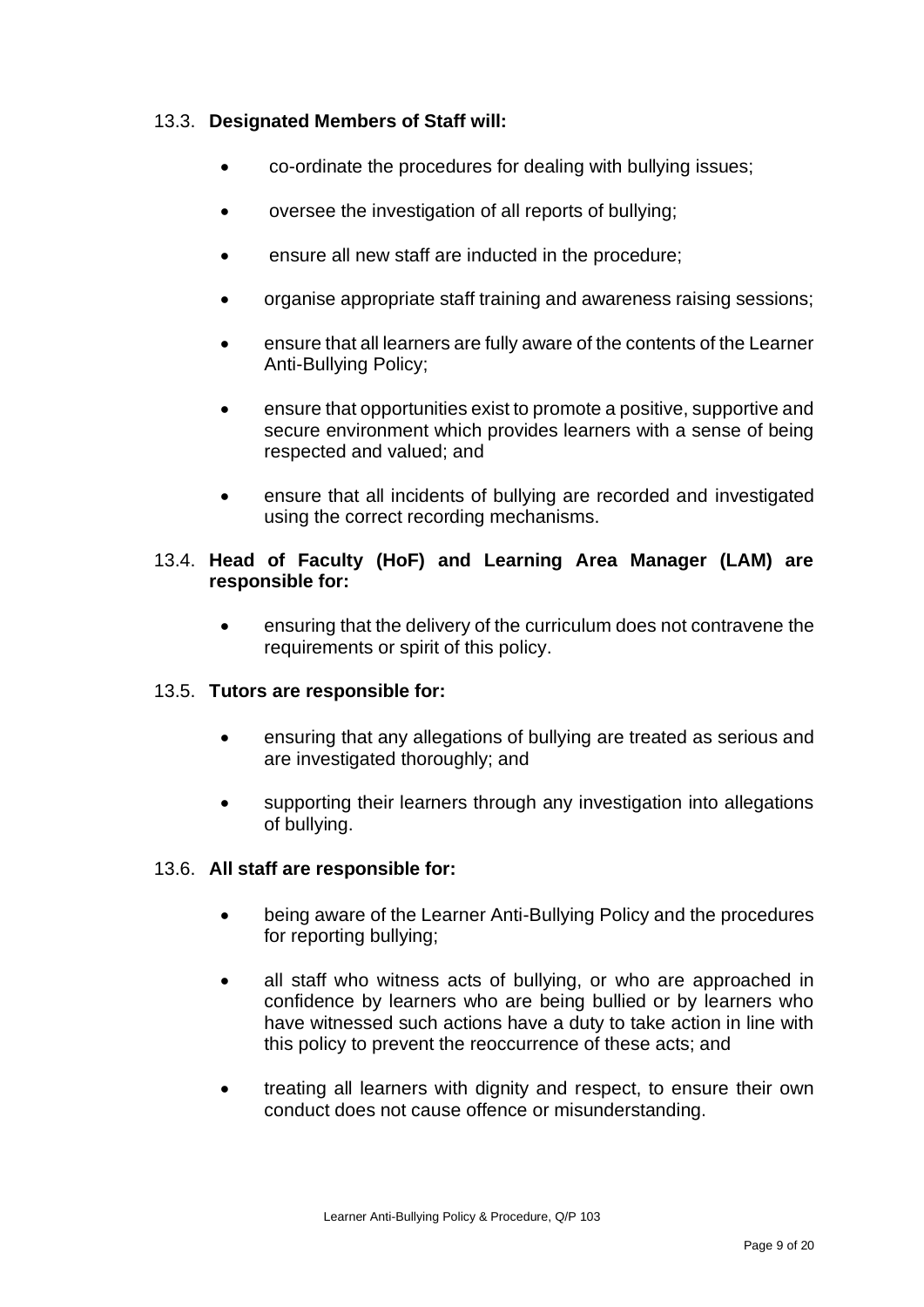#### 13.3. **Designated Members of Staff will:**

- co-ordinate the procedures for dealing with bullying issues;
- oversee the investigation of all reports of bullying;
- ensure all new staff are inducted in the procedure;
- organise appropriate staff training and awareness raising sessions;
- ensure that all learners are fully aware of the contents of the Learner Anti-Bullying Policy;
- ensure that opportunities exist to promote a positive, supportive and secure environment which provides learners with a sense of being respected and valued; and
- ensure that all incidents of bullying are recorded and investigated using the correct recording mechanisms.

#### 13.4. **Head of Faculty (HoF) and Learning Area Manager (LAM) are responsible for:**

• ensuring that the delivery of the curriculum does not contravene the requirements or spirit of this policy.

#### 13.5. **Tutors are responsible for:**

- ensuring that any allegations of bullying are treated as serious and are investigated thoroughly; and
- supporting their learners through any investigation into allegations of bullying.

#### 13.6. **All staff are responsible for:**

- being aware of the Learner Anti-Bullying Policy and the procedures for reporting bullying;
- all staff who witness acts of bullying, or who are approached in confidence by learners who are being bullied or by learners who have witnessed such actions have a duty to take action in line with this policy to prevent the reoccurrence of these acts; and
- treating all learners with dignity and respect, to ensure their own conduct does not cause offence or misunderstanding.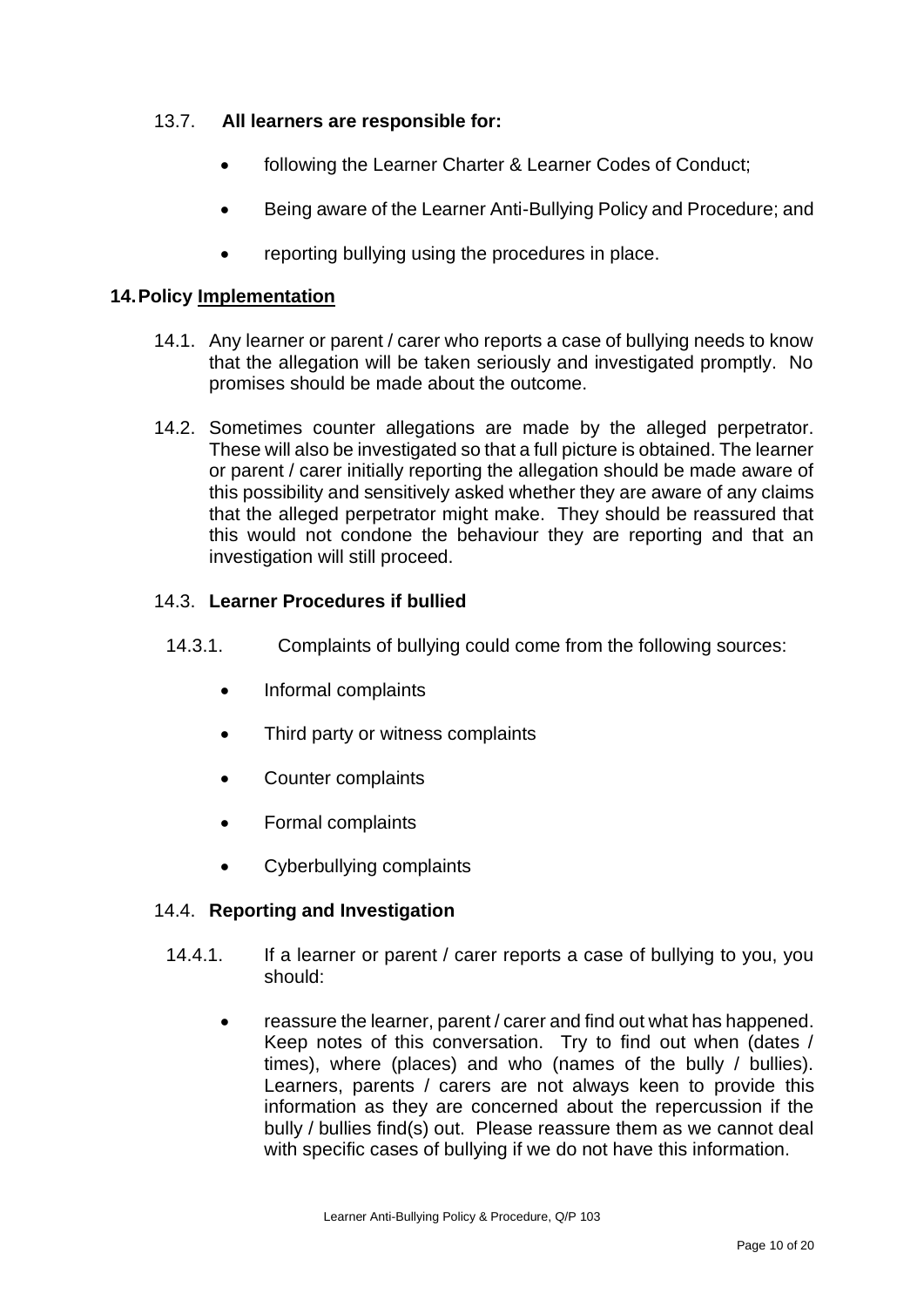#### 13.7. **All learners are responsible for:**

- following the Learner Charter & Learner Codes of Conduct:
- Being aware of the Learner Anti-Bullying Policy and Procedure; and
- reporting bullying using the procedures in place.

#### **14.Policy Implementation**

- 14.1. Any learner or parent / carer who reports a case of bullying needs to know that the allegation will be taken seriously and investigated promptly. No promises should be made about the outcome.
- 14.2. Sometimes counter allegations are made by the alleged perpetrator. These will also be investigated so that a full picture is obtained. The learner or parent / carer initially reporting the allegation should be made aware of this possibility and sensitively asked whether they are aware of any claims that the alleged perpetrator might make. They should be reassured that this would not condone the behaviour they are reporting and that an investigation will still proceed.

#### 14.3. **Learner Procedures if bullied**

- 14.3.1. Complaints of bullying could come from the following sources:
	- Informal complaints
	- Third party or witness complaints
	- Counter complaints
	- Formal complaints
	- Cyberbullying complaints

#### 14.4. **Reporting and Investigation**

- 14.4.1. If a learner or parent / carer reports a case of bullying to you, you should:
	- reassure the learner, parent / carer and find out what has happened. Keep notes of this conversation. Try to find out when (dates / times), where (places) and who (names of the bully / bullies). Learners, parents / carers are not always keen to provide this information as they are concerned about the repercussion if the bully / bullies find(s) out. Please reassure them as we cannot deal with specific cases of bullying if we do not have this information.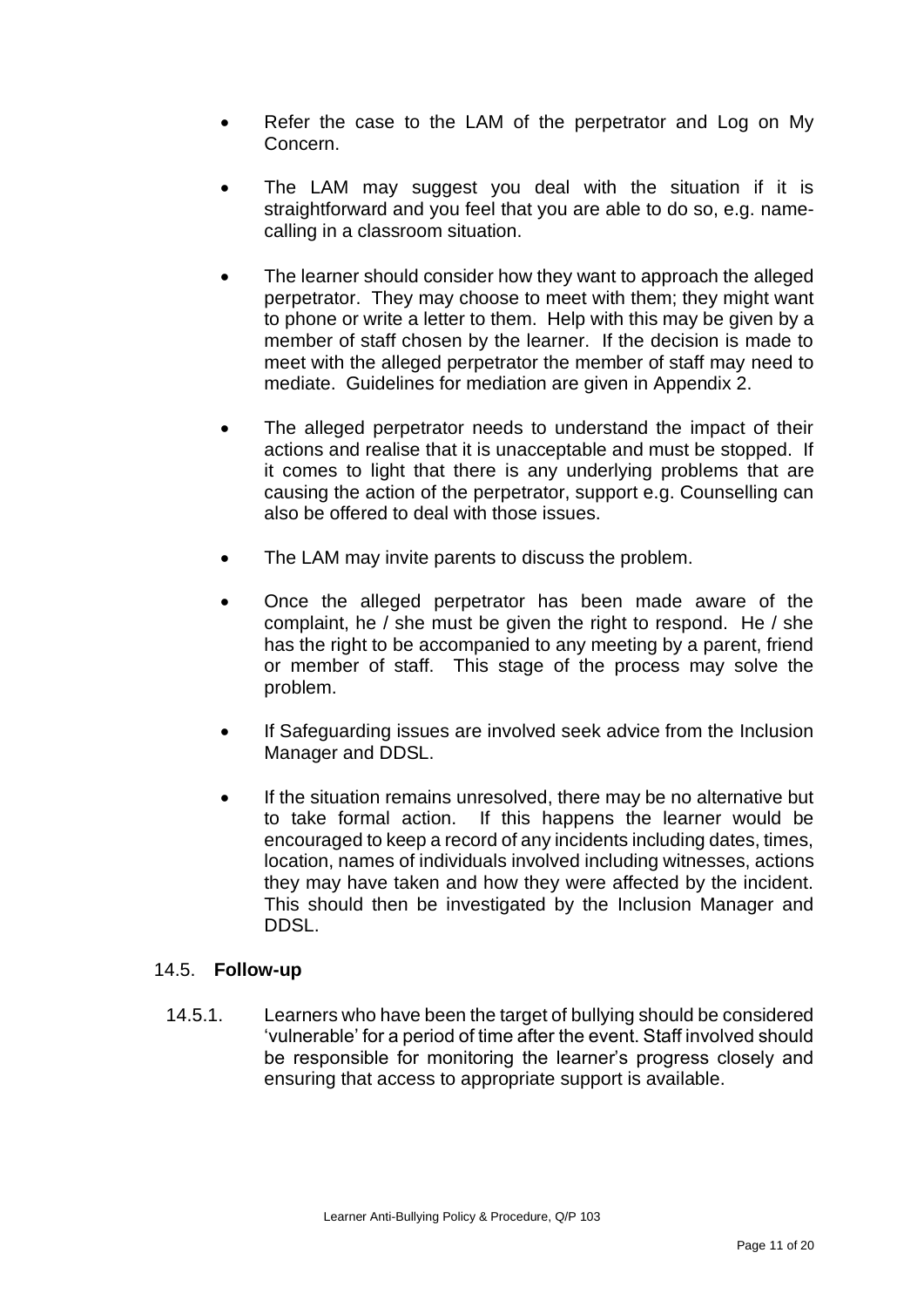- Refer the case to the LAM of the perpetrator and Log on My Concern.
- The LAM may suggest you deal with the situation if it is straightforward and you feel that you are able to do so, e.g. namecalling in a classroom situation.
- The learner should consider how they want to approach the alleged perpetrator. They may choose to meet with them; they might want to phone or write a letter to them. Help with this may be given by a member of staff chosen by the learner. If the decision is made to meet with the alleged perpetrator the member of staff may need to mediate. Guidelines for mediation are given in Appendix 2.
- The alleged perpetrator needs to understand the impact of their actions and realise that it is unacceptable and must be stopped. If it comes to light that there is any underlying problems that are causing the action of the perpetrator, support e.g. Counselling can also be offered to deal with those issues.
- The LAM may invite parents to discuss the problem.
- Once the alleged perpetrator has been made aware of the complaint, he / she must be given the right to respond. He / she has the right to be accompanied to any meeting by a parent, friend or member of staff. This stage of the process may solve the problem.
- If Safeguarding issues are involved seek advice from the Inclusion Manager and DDSL.
- If the situation remains unresolved, there may be no alternative but to take formal action. If this happens the learner would be encouraged to keep a record of any incidents including dates, times, location, names of individuals involved including witnesses, actions they may have taken and how they were affected by the incident. This should then be investigated by the Inclusion Manager and DDSL.

#### 14.5. **Follow-up**

14.5.1. Learners who have been the target of bullying should be considered 'vulnerable' for a period of time after the event. Staff involved should be responsible for monitoring the learner's progress closely and ensuring that access to appropriate support is available.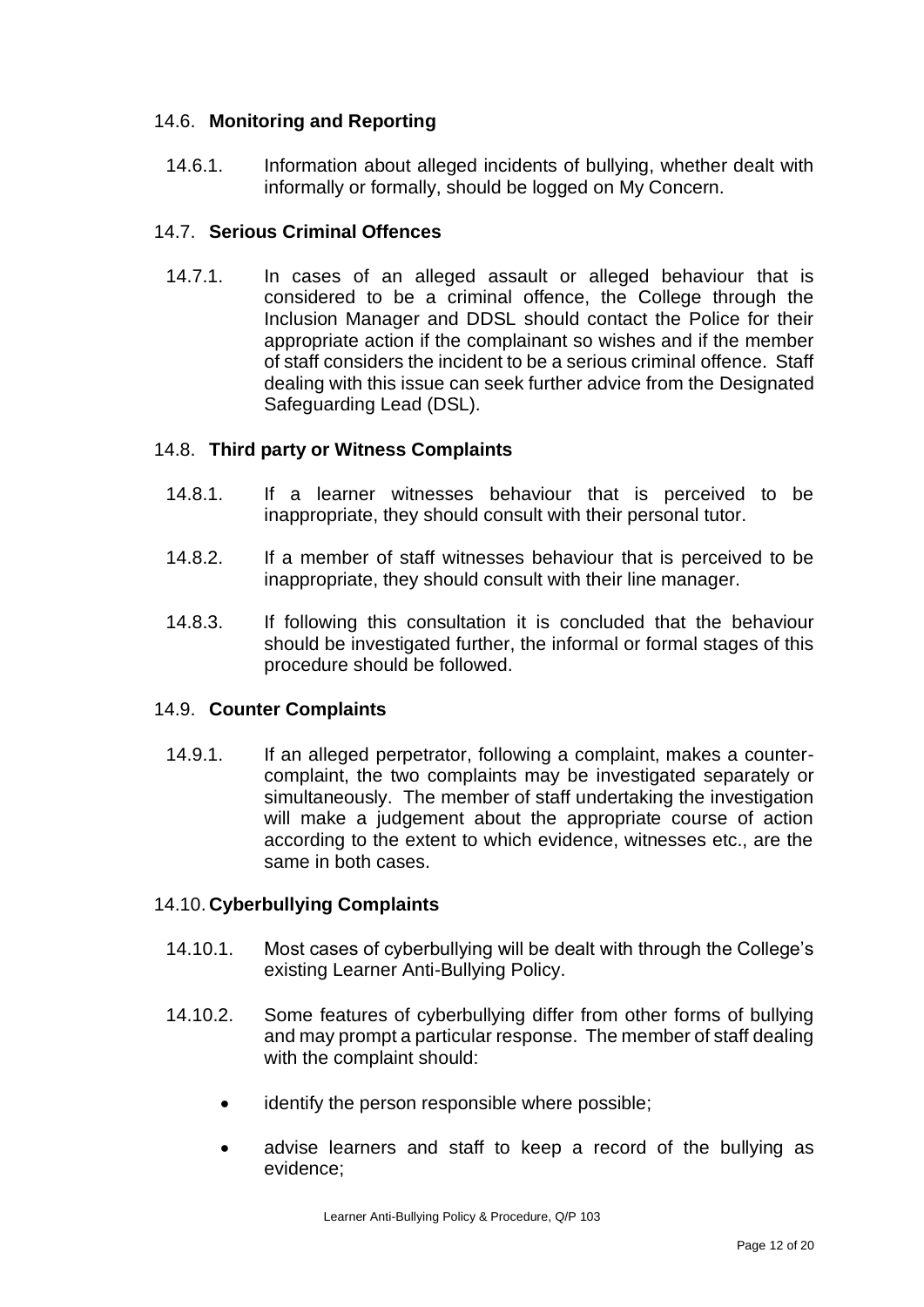#### 14.6. **Monitoring and Reporting**

14.6.1. Information about alleged incidents of bullying, whether dealt with informally or formally, should be logged on My Concern.

#### 14.7. **Serious Criminal Offences**

14.7.1. In cases of an alleged assault or alleged behaviour that is considered to be a criminal offence, the College through the Inclusion Manager and DDSL should contact the Police for their appropriate action if the complainant so wishes and if the member of staff considers the incident to be a serious criminal offence. Staff dealing with this issue can seek further advice from the Designated Safeguarding Lead (DSL).

#### 14.8. **Third party or Witness Complaints**

- 14.8.1. If a learner witnesses behaviour that is perceived to be inappropriate, they should consult with their personal tutor.
- 14.8.2. If a member of staff witnesses behaviour that is perceived to be inappropriate, they should consult with their line manager.
- 14.8.3. If following this consultation it is concluded that the behaviour should be investigated further, the informal or formal stages of this procedure should be followed.

#### 14.9. **Counter Complaints**

14.9.1. If an alleged perpetrator, following a complaint, makes a countercomplaint, the two complaints may be investigated separately or simultaneously. The member of staff undertaking the investigation will make a judgement about the appropriate course of action according to the extent to which evidence, witnesses etc., are the same in both cases.

#### 14.10. **Cyberbullying Complaints**

- 14.10.1. Most cases of cyberbullying will be dealt with through the College's existing Learner Anti-Bullying Policy.
- 14.10.2. Some features of cyberbullying differ from other forms of bullying and may prompt a particular response. The member of staff dealing with the complaint should:
	- identify the person responsible where possible;
	- advise learners and staff to keep a record of the bullying as evidence;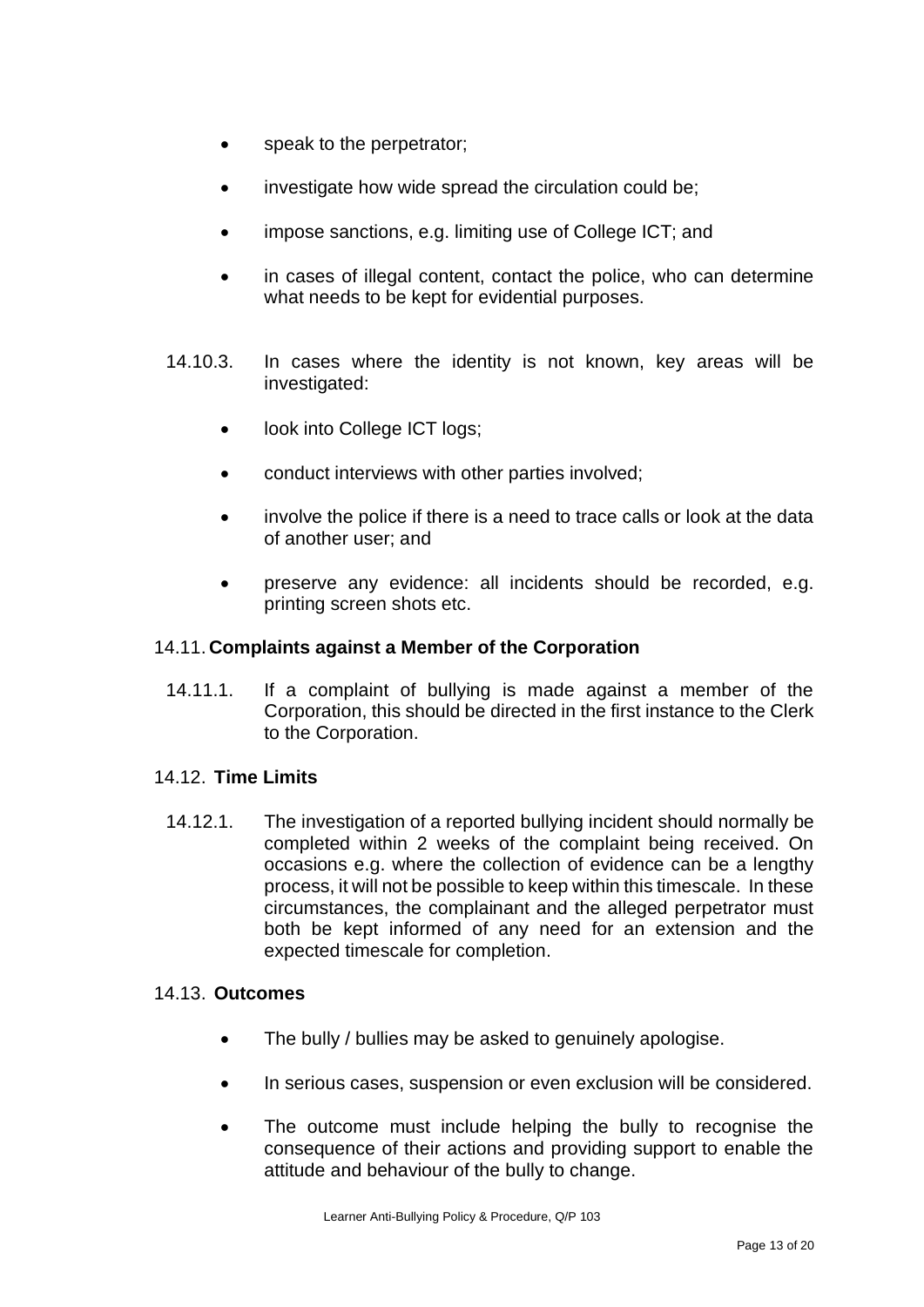- speak to the perpetrator;
- investigate how wide spread the circulation could be;
- impose sanctions, e.g. limiting use of College ICT; and
- in cases of illegal content, contact the police, who can determine what needs to be kept for evidential purposes.
- 14.10.3. In cases where the identity is not known, key areas will be investigated:
	- look into College ICT logs;
	- conduct interviews with other parties involved;
	- involve the police if there is a need to trace calls or look at the data of another user; and
	- preserve any evidence: all incidents should be recorded, e.g. printing screen shots etc.

#### 14.11. **Complaints against a Member of the Corporation**

14.11.1. If a complaint of bullying is made against a member of the Corporation, this should be directed in the first instance to the Clerk to the Corporation.

#### 14.12. **Time Limits**

14.12.1. The investigation of a reported bullying incident should normally be completed within 2 weeks of the complaint being received. On occasions e.g. where the collection of evidence can be a lengthy process, it will not be possible to keep within this timescale. In these circumstances, the complainant and the alleged perpetrator must both be kept informed of any need for an extension and the expected timescale for completion.

#### 14.13. **Outcomes**

- The bully / bullies may be asked to genuinely apologise.
- In serious cases, suspension or even exclusion will be considered.
- The outcome must include helping the bully to recognise the consequence of their actions and providing support to enable the attitude and behaviour of the bully to change.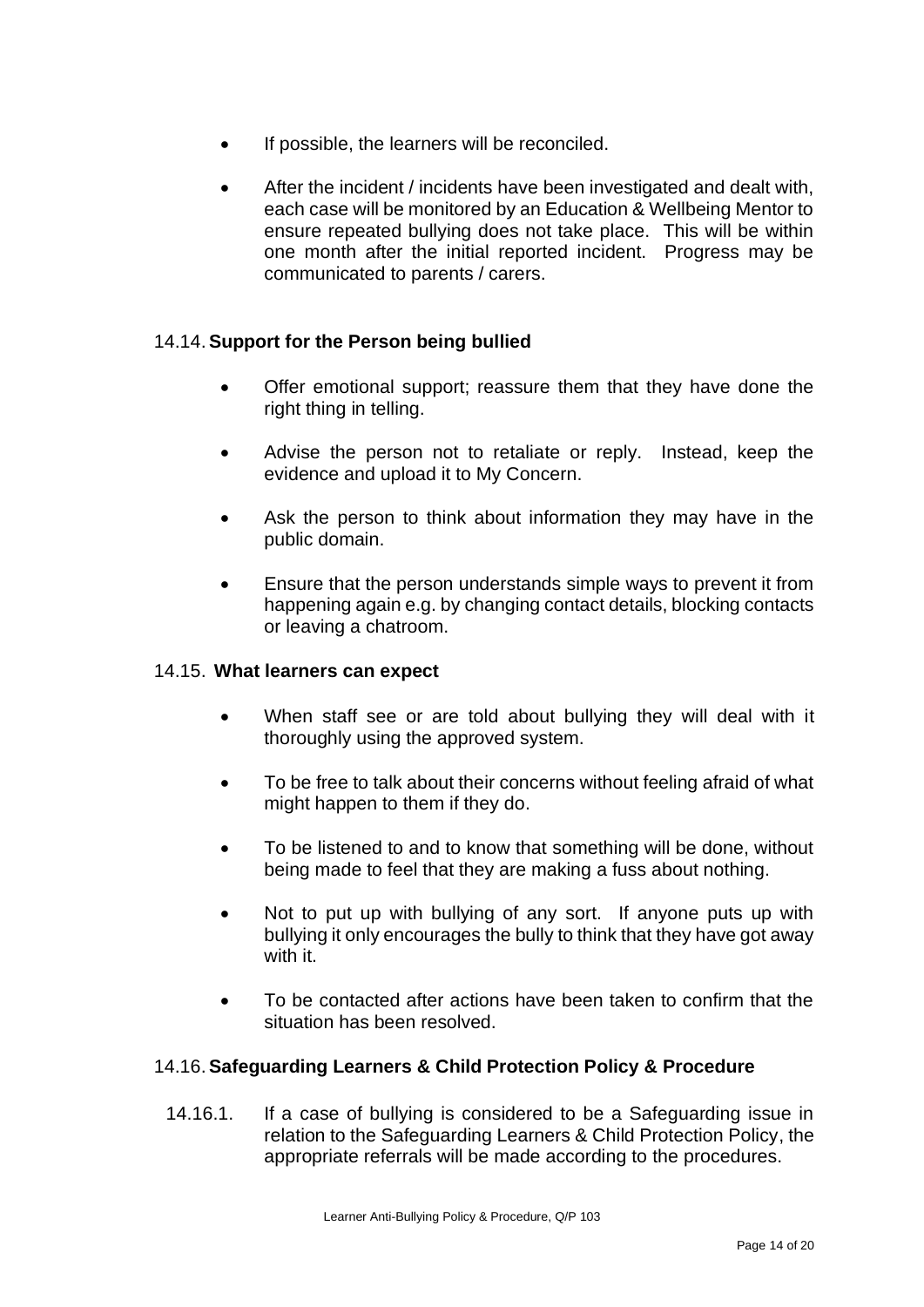- If possible, the learners will be reconciled.
- After the incident / incidents have been investigated and dealt with, each case will be monitored by an Education & Wellbeing Mentor to ensure repeated bullying does not take place. This will be within one month after the initial reported incident. Progress may be communicated to parents / carers.

#### 14.14.**Support for the Person being bullied**

- Offer emotional support; reassure them that they have done the right thing in telling.
- Advise the person not to retaliate or reply. Instead, keep the evidence and upload it to My Concern.
- Ask the person to think about information they may have in the public domain.
- Ensure that the person understands simple ways to prevent it from happening again e.g. by changing contact details, blocking contacts or leaving a chatroom.

#### 14.15. **What learners can expect**

- When staff see or are told about bullying they will deal with it thoroughly using the approved system.
- To be free to talk about their concerns without feeling afraid of what might happen to them if they do.
- To be listened to and to know that something will be done, without being made to feel that they are making a fuss about nothing.
- Not to put up with bullying of any sort. If anyone puts up with bullying it only encourages the bully to think that they have got away with it.
- To be contacted after actions have been taken to confirm that the situation has been resolved.

#### 14.16.**Safeguarding Learners & Child Protection Policy & Procedure**

14.16.1. If a case of bullying is considered to be a Safeguarding issue in relation to the Safeguarding Learners & Child Protection Policy, the appropriate referrals will be made according to the procedures.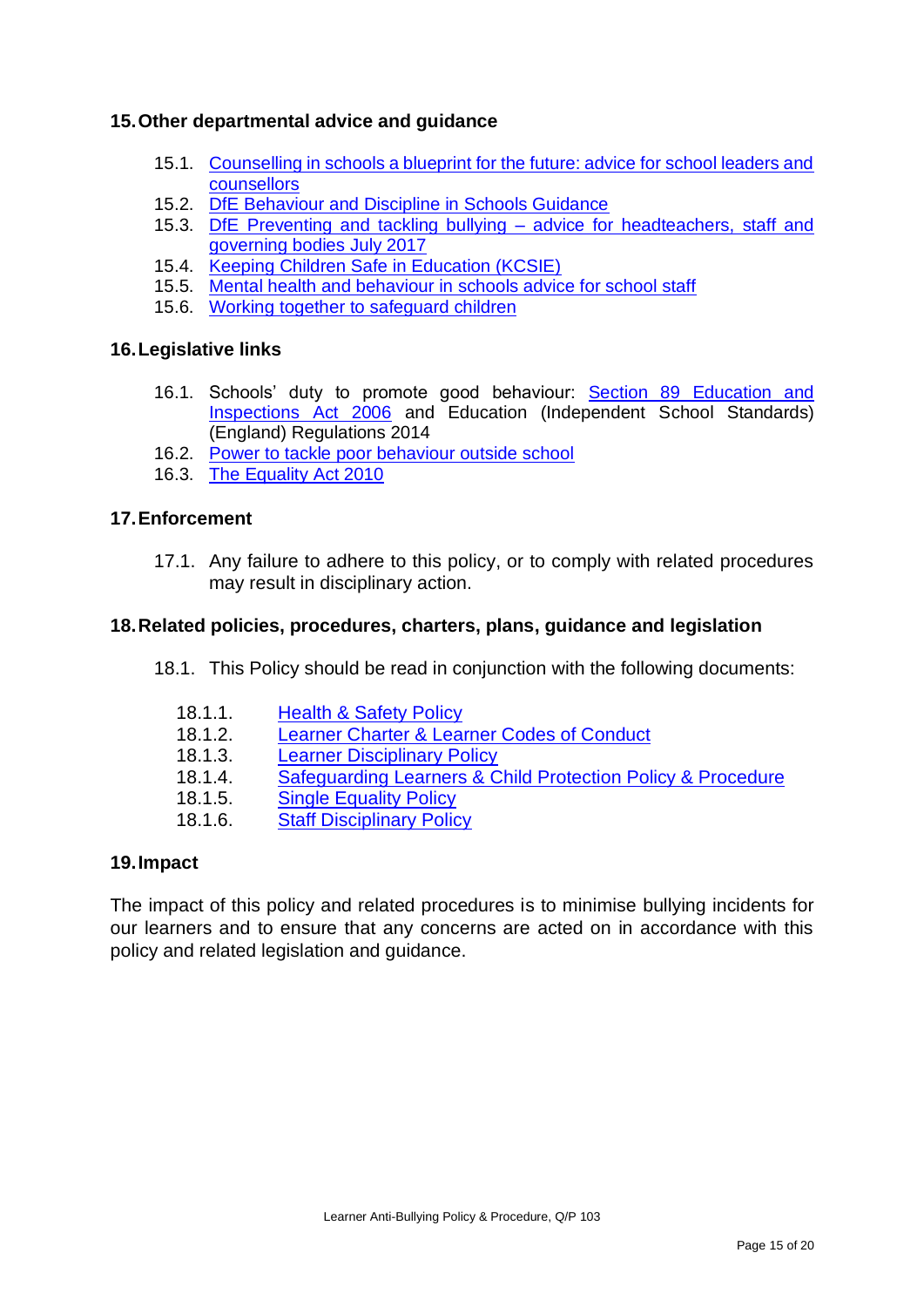#### **15.Other departmental advice and guidance**

- 15.1. [Counselling in schools a blueprint for the future: advice for school leaders and](https://www.gov.uk/government/publications/counselling-in-schools)  [counsellors](https://www.gov.uk/government/publications/counselling-in-schools)
- 15.2. [DfE Behaviour and Discipline in Schools Guidance](https://www.gov.uk/government/publications/behaviour-and-discipline-in-schools)
- 15.3. DfE Preventing and tackling bullying [advice for headteachers, staff and](https://assets.publishing.service.gov.uk/government/uploads/system/uploads/attachment_data/file/623895/Preventing_and_tackling_bullying_advice.pdf)  [governing bodies July 2017](https://assets.publishing.service.gov.uk/government/uploads/system/uploads/attachment_data/file/623895/Preventing_and_tackling_bullying_advice.pdf)
- 15.4. [Keeping Children Safe in Education \(KCSIE\)](https://www.gov.uk/government/publications/keeping-children-safe-in-education--2)
- 15.5. [Mental health and behaviour in schools advice for school staff](https://www.gov.uk/government/publications/mental-health-and-behaviour-in-schools--2)
- 15.6. [Working together to safeguard children](https://www.gov.uk/government/publications/working-together-to-safeguard-children--2)

#### **16.Legislative links**

- 16.1. Schools' duty to promote good behaviour: [Section 89 Education and](http://www.legislation.gov.uk/ukpga/2006/40/section/89)  [Inspections Act 2006](http://www.legislation.gov.uk/ukpga/2006/40/section/89) and Education (Independent School Standards) (England) Regulations 2014
- 16.2. [Power to tackle poor behaviour outside school](http://www.legislation.gov.uk/ukpga/2006/40/section/90)
- 16.3. [The Equality Act 2010](http://www.legislation.gov.uk/ukpga/2010/15/contents)

#### **17.Enforcement**

17.1. Any failure to adhere to this policy, or to comply with related procedures may result in disciplinary action.

#### **18.Related policies, procedures, charters, plans, guidance and legislation**

- 18.1. This Policy should be read in conjunction with the following documents:
	- 18.1.1. Health & Safety Policy
	- 18.1.2. [Learner Charter & Learner Codes of Conduct](https://sgscol.sharepoint.com/:w:/r/sites/staff/DataHub/_layouts/15/Doc.aspx?sourcedoc=%7BEF60A1D3-3574-42FF-93DE-7F3E5F7D6FA9%7D&file=Learner%20Charter%20and%20Codes%20of%20Conduct.docx&action=default&mobileredirect=true)
	- 18.1.3. **Learner [Disciplinary Policy](https://sgscol.sharepoint.com/:w:/r/sites/staff/DataHub/Official%20Documents%20in%20SGS/Learner%20Disciplinary%20Policy.docx?d=w1cfe0aec27644f02955b612553c15f60&csf=1&e=zhPbIn)**
	- 18.1.4. [Safeguarding Learners & Child Protection Policy & Procedure](https://sgscol.sharepoint.com/:w:/r/sites/staff/DataHub/_layouts/15/Doc.aspx?sourcedoc=%7B61FD2CFF-6AC4-4060-849B-F45346583702%7D&file=Safeguarding%20Learners%20%26%20Child%20Protection%20Policy%20%26%20Procedure.docx&action=default&mobileredirect=true)
	- 18.1.5. [Single Equality Policy](https://sgscol.sharepoint.com/:w:/r/sites/staff/DataHub/Official%20Documents%20in%20SGS/Single%20Equality.docx?d=w54c86f55c07e4299b293762f3b29c339&csf=1&e=yuup5W)
	- 18.1.6. [Staff Disciplinary Policy](https://sgscol.sharepoint.com/:w:/r/sites/staff/DataHub/Official%20Documents%20in%20SGS/Disciplinary%20(Staff)%20(including%20Senior%20Post%20Holders).docx?d=w2ce5b6042042470dadfbf67a39e832d7&csf=1&e=G2Nya5)

#### **19.Impact**

The impact of this policy and related procedures is to minimise bullying incidents for our learners and to ensure that any concerns are acted on in accordance with this policy and related legislation and guidance.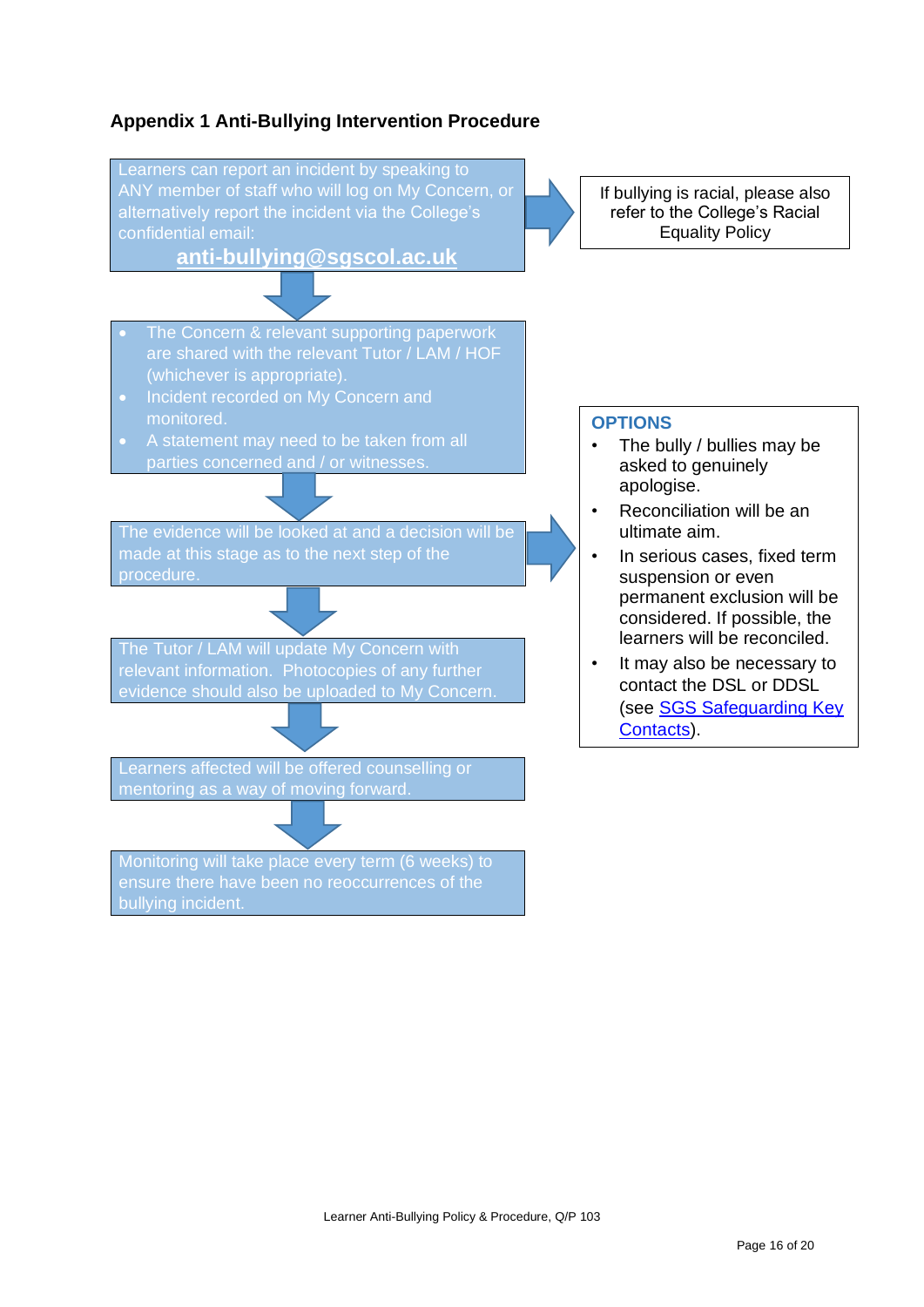#### **Appendix 1 Anti-Bullying Intervention Procedure**



bullying incident.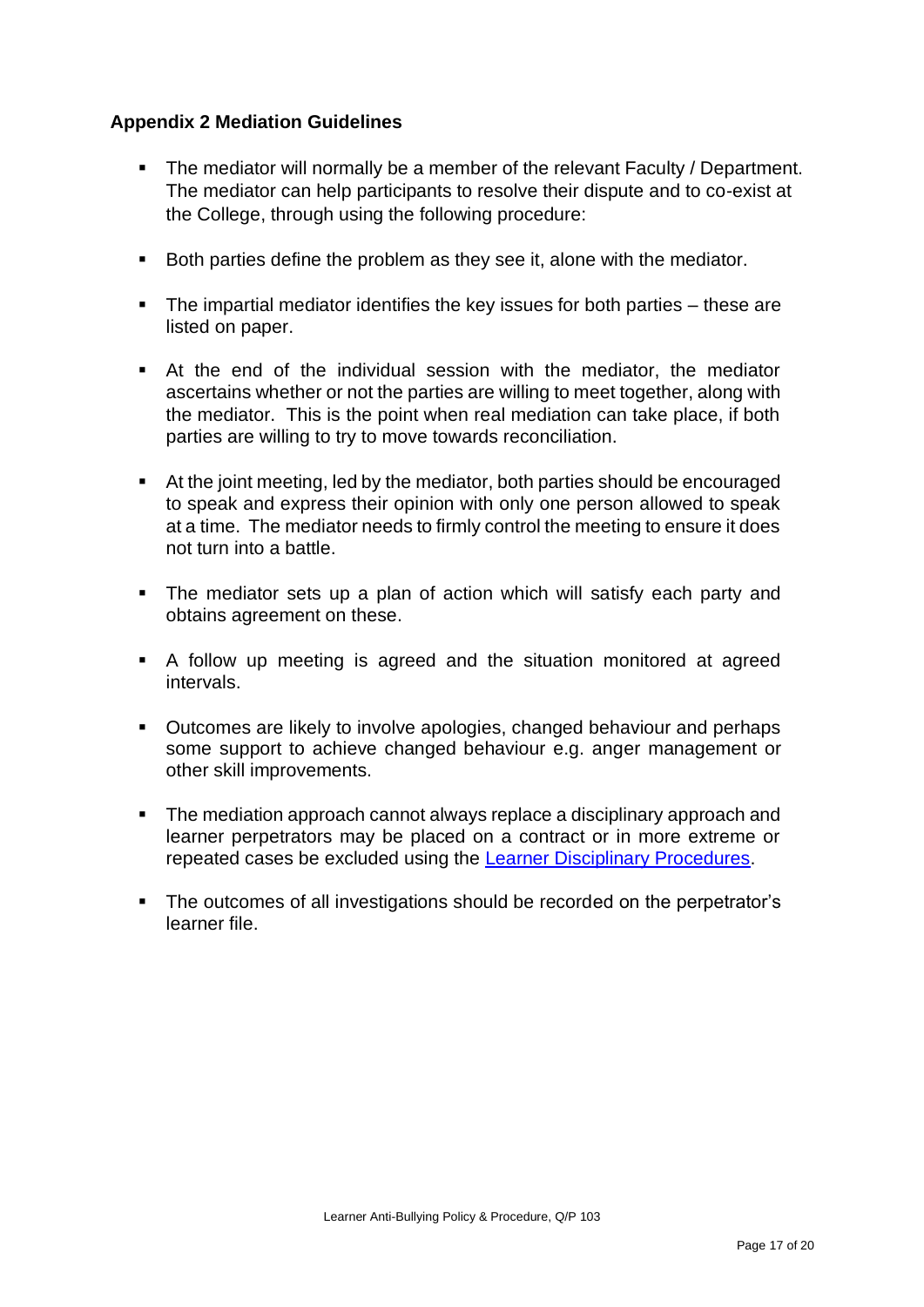#### **Appendix 2 Mediation Guidelines**

- The mediator will normally be a member of the relevant Faculty / Department. The mediator can help participants to resolve their dispute and to co-exist at the College, through using the following procedure:
- Both parties define the problem as they see it, alone with the mediator.
- The impartial mediator identifies the key issues for both parties these are listed on paper.
- At the end of the individual session with the mediator, the mediator ascertains whether or not the parties are willing to meet together, along with the mediator. This is the point when real mediation can take place, if both parties are willing to try to move towards reconciliation.
- At the joint meeting, led by the mediator, both parties should be encouraged to speak and express their opinion with only one person allowed to speak at a time. The mediator needs to firmly control the meeting to ensure it does not turn into a battle.
- The mediator sets up a plan of action which will satisfy each party and obtains agreement on these.
- A follow up meeting is agreed and the situation monitored at agreed intervals.
- Outcomes are likely to involve apologies, changed behaviour and perhaps some support to achieve changed behaviour e.g. anger management or other skill improvements.
- The mediation approach cannot always replace a disciplinary approach and learner perpetrators may be placed on a contract or in more extreme or repeated cases be excluded using the [Learner Disciplinary Procedures.](https://sgscol.sharepoint.com/:w:/r/sites/staff/DataHub/Official%20Documents%20in%20SGS/Learner%20Disciplinary%20Policy.docx?d=w1cfe0aec27644f02955b612553c15f60&csf=1&web=1&e=miuFLv)
- The outcomes of all investigations should be recorded on the perpetrator's learner file.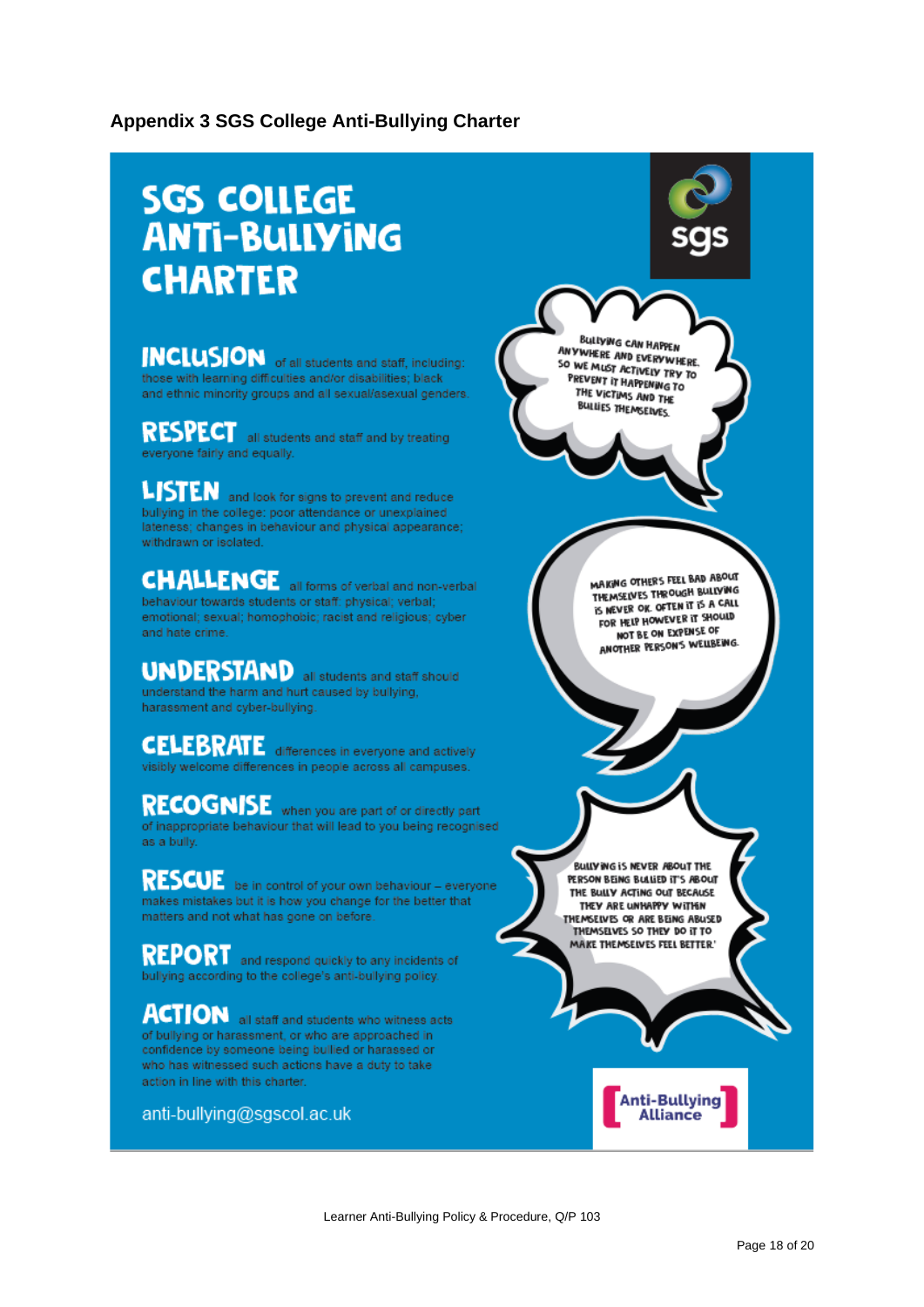#### **Appendix 3 SGS College Anti-Bullying Charter**

# **SGS COLLEGE ANTI-BULLYING CHARTER**

**INCLUSION** of all students and staff, including: those with learning difficulties and/or disabilities; black and ethnic minority groups and all sexual/asexual genders.

**RESPECT** all students and staff and by treating everyone fairly and equally.

LISTEN and look for signs to prevent and reduce bullying in the college: poor attendance or unexplained lateness; changes in behaviour and physical appearance; withdrawn or isolated.

#### **CHALLENGE** all forms of verbal and non-verbal behaviour towards students or staff: physical; verbal; emotional; sexual; homophobic; racist and religious; cyber and hate crime.

**UNDERSTAND** all students and staff should understand the harm and hurt caused by bullying, harassment and cyber-bullying.

**CELEBRATE** differences in everyone and actively visibly welcome differences in people across all campuses.

**RECOGNISE** when you are part of or directly part of inappropriate behaviour that will lead to you being recognised as a bully.

**RESCUE** be in control of your own behaviour - everyone makes mistakes but it is how you change for the better that matters and not what has gone on before.

**REPORT** and respond quickly to any incidents of bullying according to the college's anti-bullying policy.

**ACTION** all staff and students who witness acts of bullying or harassment, or who are approached in confidence by someone being bullied or harassed or who has witnessed such actions have a duty to take action in line with this charter.

anti-bullying@sgscol.ac.uk

SO WE MUST ACTIVELY TRY TO PREVENT IT HAPPENING TO THE VICTIMS AND THE BULLIES THEMSELVES. MAKING OTHERS FEEL BAD ABOUT MAKING OTHERS FELL WILD TO INEMSELVES INCOME DATE FOR HELP HOWEVER IT SHOULD NOT BE ON EXPENSE OF ANOTHER PERSON'S WELLBEING.

BULLYING CAN HAPPEN ANYWHERE AND EVERYWHERE.

BULLY ING IS NEVER ABOUT THE PERSON BEING BULLIED IT'S ABOUT THE BULLY ACTING OUT BECAUSE THEY ARE UNHAPPY WITHIN THEMSELVES OR ARE BEING ABUSED THEMSELVES SO THEY DO IT TO MAKE THEMSELVES FEEL BETTER'

**Anti-Bullying** 

**Alliance** 

Learner Anti-Bullying Policy & Procedure, Q/P 103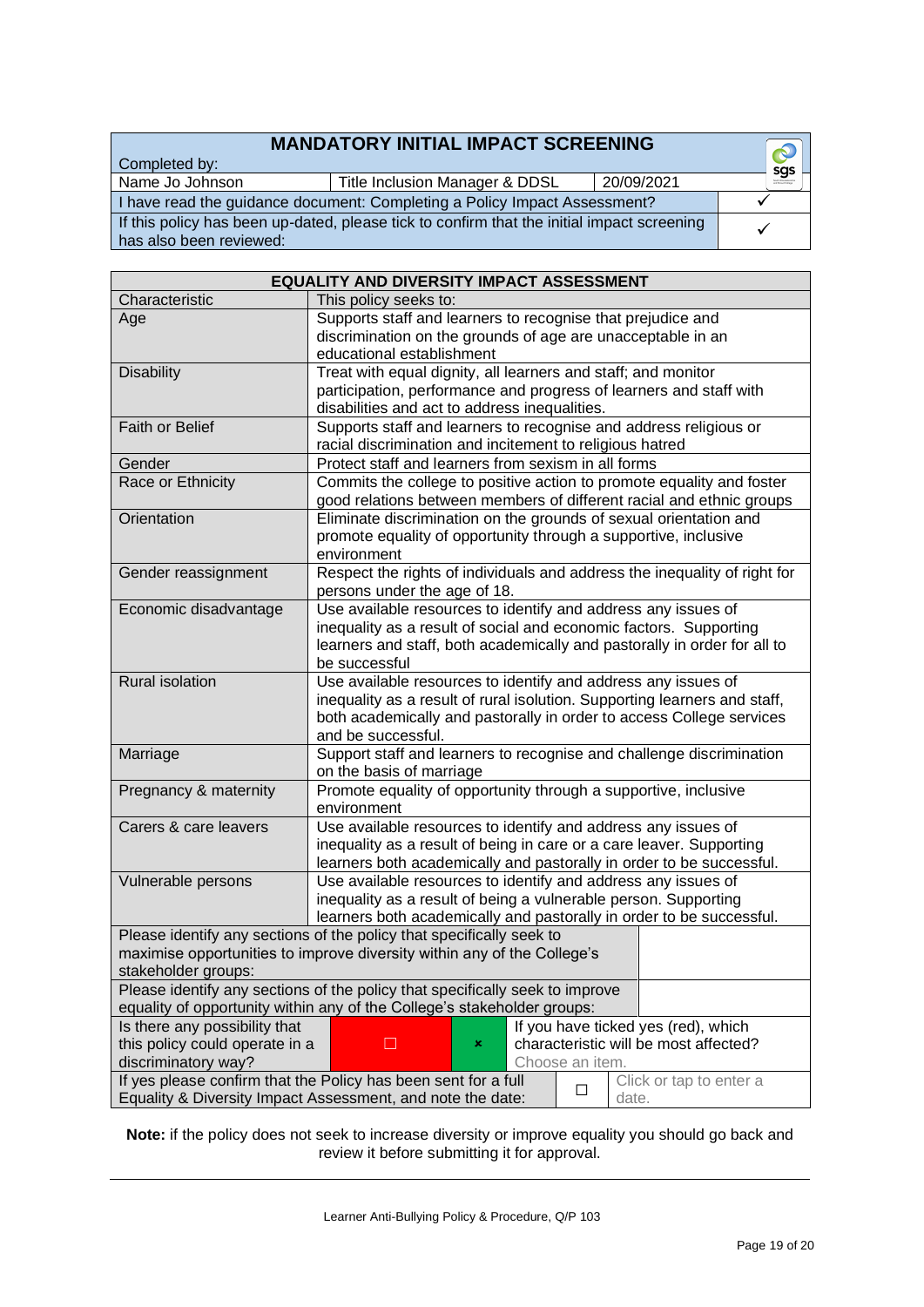#### **MANDATORY INITIAL IMPACT SCREENING**

Completed by:

Name Jo Johnson Title Inclusion Manager & DDSL 20/09/2021

I have read the guidance document: Completing a Policy Impact Assessment?  $q^2$ If this policy has been up-dated, please tick If this policy has been up-dated, piease tick to confirm that the initial impact screening a v<br>has also been reviewed:

|                                                                                                                       | I have read the guidance document: Completing a Policy Impact Assessment?                                                  |  |  |
|-----------------------------------------------------------------------------------------------------------------------|----------------------------------------------------------------------------------------------------------------------------|--|--|
| If this policy has been up-dated, please tick to confirm that the initial impact screening<br>has also been reviewed: |                                                                                                                            |  |  |
|                                                                                                                       |                                                                                                                            |  |  |
|                                                                                                                       |                                                                                                                            |  |  |
| <b>EQUALITY AND DIVERSITY IMPACT ASSESSMENT</b>                                                                       |                                                                                                                            |  |  |
| Characteristic                                                                                                        | This policy seeks to:                                                                                                      |  |  |
| Age                                                                                                                   | Supports staff and learners to recognise that prejudice and<br>discrimination on the grounds of age are unacceptable in an |  |  |
|                                                                                                                       | educational establishment                                                                                                  |  |  |
| <b>Disability</b>                                                                                                     | Treat with equal dignity all learners and staff: and monitor                                                               |  |  |

|                                                                                           | educational establishment                                                                                                                    |  |  |
|-------------------------------------------------------------------------------------------|----------------------------------------------------------------------------------------------------------------------------------------------|--|--|
| <b>Disability</b>                                                                         | Treat with equal dignity, all learners and staff; and monitor                                                                                |  |  |
|                                                                                           | participation, performance and progress of learners and staff with                                                                           |  |  |
|                                                                                           | disabilities and act to address inequalities.                                                                                                |  |  |
| <b>Faith or Belief</b>                                                                    | Supports staff and learners to recognise and address religious or                                                                            |  |  |
|                                                                                           | racial discrimination and incitement to religious hatred                                                                                     |  |  |
| Gender                                                                                    | Protect staff and learners from sexism in all forms                                                                                          |  |  |
| Race or Ethnicity                                                                         | Commits the college to positive action to promote equality and foster                                                                        |  |  |
|                                                                                           | good relations between members of different racial and ethnic groups                                                                         |  |  |
| Orientation                                                                               | Eliminate discrimination on the grounds of sexual orientation and                                                                            |  |  |
|                                                                                           | promote equality of opportunity through a supportive, inclusive                                                                              |  |  |
|                                                                                           | environment                                                                                                                                  |  |  |
| Gender reassignment                                                                       | Respect the rights of individuals and address the inequality of right for                                                                    |  |  |
|                                                                                           | persons under the age of 18.                                                                                                                 |  |  |
| Economic disadvantage                                                                     | Use available resources to identify and address any issues of                                                                                |  |  |
|                                                                                           | inequality as a result of social and economic factors. Supporting                                                                            |  |  |
|                                                                                           | learners and staff, both academically and pastorally in order for all to                                                                     |  |  |
|                                                                                           | be successful                                                                                                                                |  |  |
| <b>Rural isolation</b>                                                                    | Use available resources to identify and address any issues of                                                                                |  |  |
|                                                                                           | inequality as a result of rural isolution. Supporting learners and staff,                                                                    |  |  |
|                                                                                           | both academically and pastorally in order to access College services                                                                         |  |  |
|                                                                                           | and be successful.                                                                                                                           |  |  |
| Marriage                                                                                  | Support staff and learners to recognise and challenge discrimination                                                                         |  |  |
|                                                                                           | on the basis of marriage                                                                                                                     |  |  |
| Pregnancy & maternity                                                                     | Promote equality of opportunity through a supportive, inclusive                                                                              |  |  |
|                                                                                           | environment                                                                                                                                  |  |  |
| Carers & care leavers                                                                     | Use available resources to identify and address any issues of                                                                                |  |  |
|                                                                                           | inequality as a result of being in care or a care leaver. Supporting                                                                         |  |  |
|                                                                                           | learners both academically and pastorally in order to be successful.                                                                         |  |  |
| Vulnerable persons                                                                        | Use available resources to identify and address any issues of                                                                                |  |  |
|                                                                                           | inequality as a result of being a vulnerable person. Supporting                                                                              |  |  |
|                                                                                           | learners both academically and pastorally in order to be successful.<br>Please identify any sections of the policy that specifically seek to |  |  |
|                                                                                           | maximise opportunities to improve diversity within any of the College's                                                                      |  |  |
| stakeholder groups:                                                                       |                                                                                                                                              |  |  |
|                                                                                           | Please identify any sections of the policy that specifically seek to improve                                                                 |  |  |
|                                                                                           | equality of opportunity within any of the College's stakeholder groups:                                                                      |  |  |
| Is there any possibility that                                                             | If you have ticked yes (red), which                                                                                                          |  |  |
| this policy could operate in a                                                            | characteristic will be most affected?<br>$\Box$<br>×                                                                                         |  |  |
| discriminatory way?<br>Choose an item.                                                    |                                                                                                                                              |  |  |
| If yes please confirm that the Policy has been sent for a full<br>Click or tap to enter a |                                                                                                                                              |  |  |
| □<br>Equality & Diversity Impact Assessment, and note the date:<br>date.                  |                                                                                                                                              |  |  |
|                                                                                           |                                                                                                                                              |  |  |

**Note:** if the policy does not seek to increase diversity or improve equality you should go back and review it before submitting it for approval.

 $\odot$ sgs